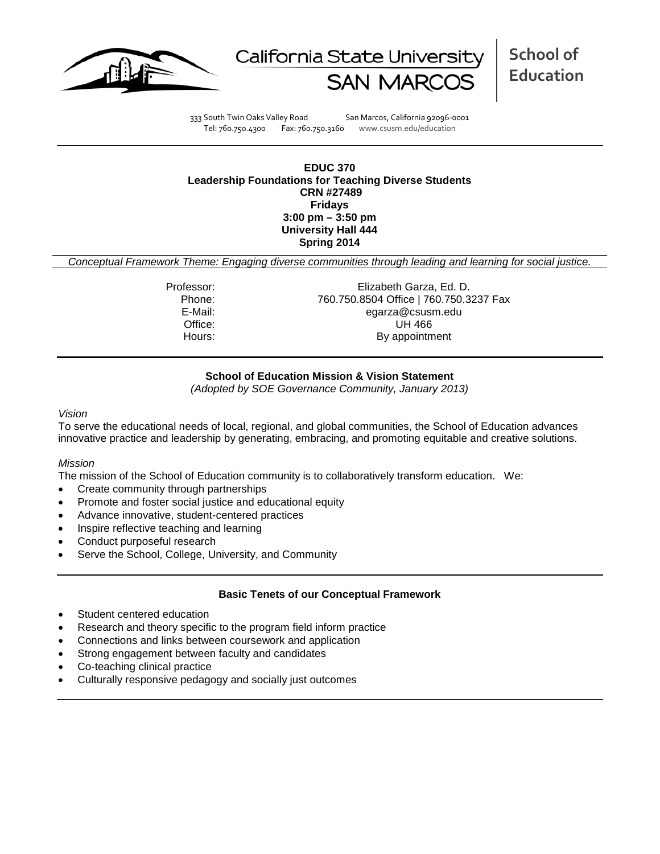



**School of Education**

333 South Twin Oaks Valley Road San Marcos, California 92096-0001 Tel: 760.750.4300 Fax: 760.750.3160 www.csusm.edu/education

#### **EDUC 370 Leadership Foundations for Teaching Diverse Students CRN #27489 Fridays 3:00 pm – 3:50 pm University Hall 444 Spring 2014**

*Conceptual Framework Theme: Engaging diverse communities through leading and learning for social justice.*

Professor: Elizabeth Garza, Ed. D. Phone: 760.750.8504 Office | 760.750.3237 Fax<br>E-Mail: eqarza@csusm.edu egarza@csusm.edu Office: UH 466 Hours: By appointment

# **School of Education Mission & Vision Statement**

*(Adopted by SOE Governance Community, January 2013)*

#### *Vision*

To serve the educational needs of local, regional, and global communities, the School of Education advances innovative practice and leadership by generating, embracing, and promoting equitable and creative solutions.

#### *Mission*

The mission of the School of Education community is to collaboratively transform education. We:

- Create community through partnerships
- Promote and foster social justice and educational equity
- Advance innovative, student-centered practices
- Inspire reflective teaching and learning
- Conduct purposeful research
- Serve the School, College, University, and Community

# **Basic Tenets of our Conceptual Framework**

- Student centered education
- Research and theory specific to the program field inform practice
- Connections and links between coursework and application
- Strong engagement between faculty and candidates
- Co-teaching clinical practice
- Culturally responsive pedagogy and socially just outcomes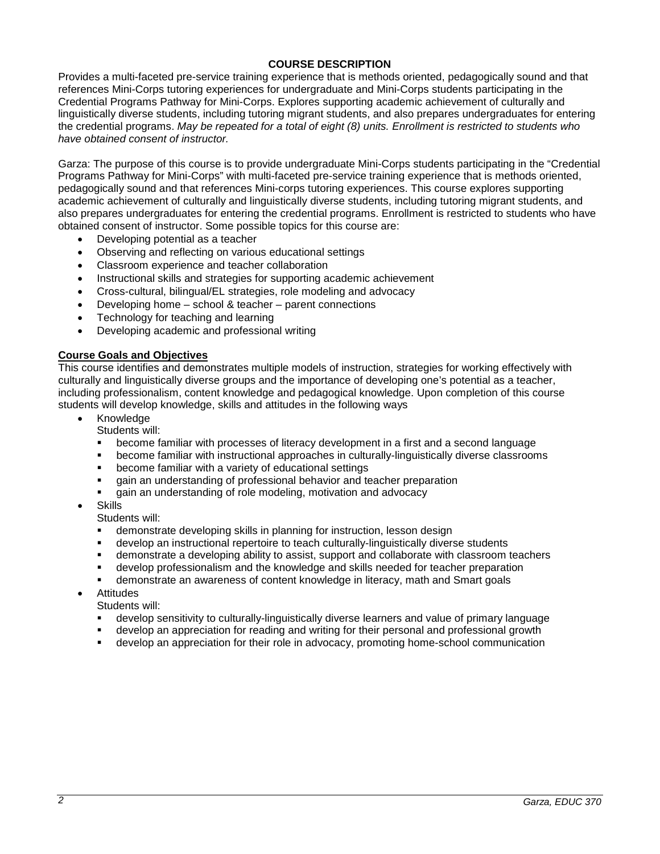## **COURSE DESCRIPTION**

Provides a multi-faceted pre-service training experience that is methods oriented, pedagogically sound and that references Mini-Corps tutoring experiences for undergraduate and Mini-Corps students participating in the Credential Programs Pathway for Mini-Corps. Explores supporting academic achievement of culturally and linguistically diverse students, including tutoring migrant students, and also prepares undergraduates for entering the credential programs. *May be repeated for a total of eight (8) units. Enrollment is restricted to students who have obtained consent of instructor.*

Garza: The purpose of this course is to provide undergraduate Mini-Corps students participating in the "Credential Programs Pathway for Mini-Corps" with multi-faceted pre-service training experience that is methods oriented, pedagogically sound and that references Mini-corps tutoring experiences. This course explores supporting academic achievement of culturally and linguistically diverse students, including tutoring migrant students, and also prepares undergraduates for entering the credential programs. Enrollment is restricted to students who have obtained consent of instructor. Some possible topics for this course are:

- Developing potential as a teacher
- Observing and reflecting on various educational settings
- Classroom experience and teacher collaboration
- Instructional skills and strategies for supporting academic achievement
- Cross-cultural, bilingual/EL strategies, role modeling and advocacy
- Developing home school & teacher parent connections
- Technology for teaching and learning
- Developing academic and professional writing

## **Course Goals and Objectives**

This course identifies and demonstrates multiple models of instruction, strategies for working effectively with culturally and linguistically diverse groups and the importance of developing one's potential as a teacher, including professionalism, content knowledge and pedagogical knowledge. Upon completion of this course students will develop knowledge, skills and attitudes in the following ways

- **Knowledge** 
	- Students will:
	- become familiar with processes of literacy development in a first and a second language
	- become familiar with instructional approaches in culturally-linguistically diverse classrooms
	- become familiar with a variety of educational settings
	- gain an understanding of professional behavior and teacher preparation
	- gain an understanding of role modeling, motivation and advocacy
- **Skills**

Students will:

- demonstrate developing skills in planning for instruction, lesson design
- develop an instructional repertoire to teach culturally-linguistically diverse students
- demonstrate a developing ability to assist, support and collaborate with classroom teachers
- develop professionalism and the knowledge and skills needed for teacher preparation
- demonstrate an awareness of content knowledge in literacy, math and Smart goals
- Attitudes

Students will:

- develop sensitivity to culturally-linguistically diverse learners and value of primary language
- develop an appreciation for reading and writing for their personal and professional growth
- develop an appreciation for their role in advocacy, promoting home-school communication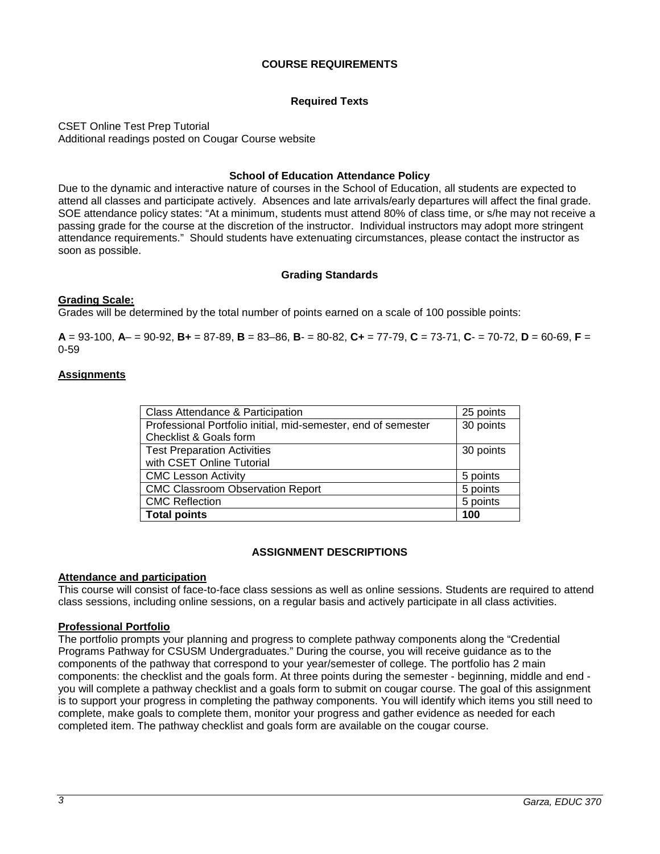## **COURSE REQUIREMENTS**

## **Required Texts**

CSET Online Test Prep Tutorial Additional readings posted on Cougar Course website

#### **School of Education Attendance Policy**

Due to the dynamic and interactive nature of courses in the School of Education, all students are expected to attend all classes and participate actively. Absences and late arrivals/early departures will affect the final grade. SOE attendance policy states: "At a minimum, students must attend 80% of class time, or s/he may not receive a passing grade for the course at the discretion of the instructor. Individual instructors may adopt more stringent attendance requirements." Should students have extenuating circumstances, please contact the instructor as soon as possible.

#### **Grading Standards**

#### **Grading Scale:**

Grades will be determined by the total number of points earned on a scale of 100 possible points:

**A** = 93-100, **A**– = 90-92, **B+** = 87-89, **B** = 83–86, **B**- = 80-82, **C+** = 77-79, **C** = 73-71, **C**- = 70-72, **D** = 60-69, **F** = 0-59

#### **Assignments**

| Class Attendance & Participation                              | 25 points |
|---------------------------------------------------------------|-----------|
| Professional Portfolio initial, mid-semester, end of semester | 30 points |
| Checklist & Goals form                                        |           |
| <b>Test Preparation Activities</b>                            | 30 points |
| with CSET Online Tutorial                                     |           |
| <b>CMC Lesson Activity</b>                                    | 5 points  |
| <b>CMC Classroom Observation Report</b>                       | 5 points  |
| <b>CMC Reflection</b>                                         | 5 points  |
| <b>Total points</b>                                           | 100       |

#### **ASSIGNMENT DESCRIPTIONS**

#### **Attendance and participation**

This course will consist of face-to-face class sessions as well as online sessions. Students are required to attend class sessions, including online sessions, on a regular basis and actively participate in all class activities.

#### **Professional Portfolio**

The portfolio prompts your planning and progress to complete pathway components along the "Credential Programs Pathway for CSUSM Undergraduates." During the course, you will receive guidance as to the components of the pathway that correspond to your year/semester of college. The portfolio has 2 main components: the checklist and the goals form. At three points during the semester - beginning, middle and end you will complete a pathway checklist and a goals form to submit on cougar course. The goal of this assignment is to support your progress in completing the pathway components. You will identify which items you still need to complete, make goals to complete them, monitor your progress and gather evidence as needed for each completed item. The pathway checklist and goals form are available on the cougar course.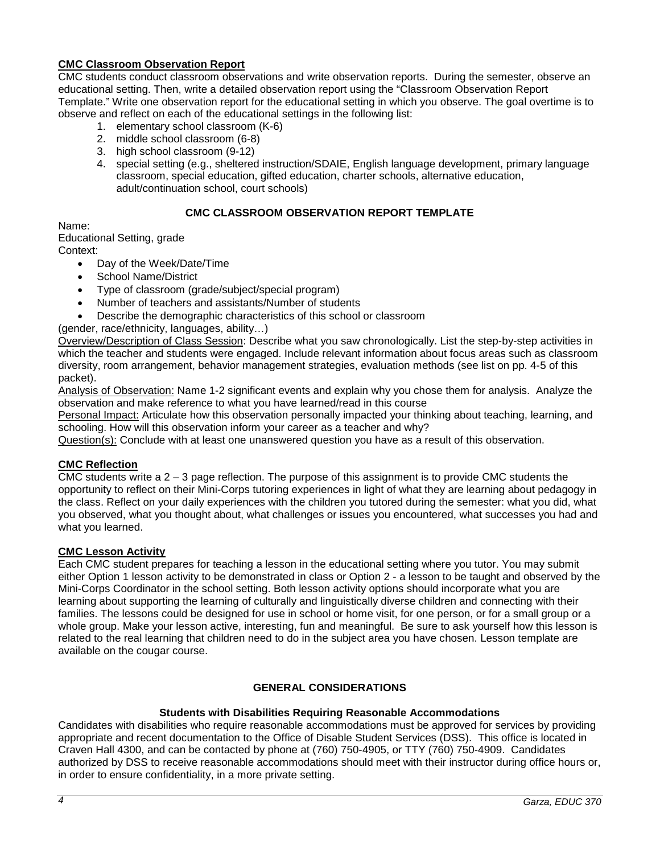## **CMC Classroom Observation Report**

CMC students conduct classroom observations and write observation reports. During the semester, observe an educational setting. Then, write a detailed observation report using the "Classroom Observation Report Template." Write one observation report for the educational setting in which you observe. The goal overtime is to observe and reflect on each of the educational settings in the following list:

- 1. elementary school classroom (K-6)
- 2. middle school classroom (6-8)
- 3. high school classroom (9-12)
- 4. special setting (e.g., sheltered instruction/SDAIE, English language development, primary language classroom, special education, gifted education, charter schools, alternative education, adult/continuation school, court schools)

## **CMC CLASSROOM OBSERVATION REPORT TEMPLATE**

Name:

Educational Setting, grade Context:

- Day of the Week/Date/Time
- School Name/District
- Type of classroom (grade/subject/special program)
- Number of teachers and assistants/Number of students
- Describe the demographic characteristics of this school or classroom

(gender, race/ethnicity, languages, ability…)

Overview/Description of Class Session: Describe what you saw chronologically. List the step-by-step activities in which the teacher and students were engaged. Include relevant information about focus areas such as classroom diversity, room arrangement, behavior management strategies, evaluation methods (see list on pp. 4-5 of this packet).

Analysis of Observation: Name 1-2 significant events and explain why you chose them for analysis. Analyze the observation and make reference to what you have learned/read in this course

Personal Impact: Articulate how this observation personally impacted your thinking about teaching, learning, and schooling. How will this observation inform your career as a teacher and why?

Question(s): Conclude with at least one unanswered question you have as a result of this observation.

### **CMC Reflection**

CMC students write a  $2 - 3$  page reflection. The purpose of this assignment is to provide CMC students the opportunity to reflect on their Mini-Corps tutoring experiences in light of what they are learning about pedagogy in the class. Reflect on your daily experiences with the children you tutored during the semester: what you did, what you observed, what you thought about, what challenges or issues you encountered, what successes you had and what you learned.

#### **CMC Lesson Activity**

Each CMC student prepares for teaching a lesson in the educational setting where you tutor. You may submit either Option 1 lesson activity to be demonstrated in class or Option 2 - a lesson to be taught and observed by the Mini-Corps Coordinator in the school setting. Both lesson activity options should incorporate what you are learning about supporting the learning of culturally and linguistically diverse children and connecting with their families. The lessons could be designed for use in school or home visit, for one person, or for a small group or a whole group. Make your lesson active, interesting, fun and meaningful. Be sure to ask yourself how this lesson is related to the real learning that children need to do in the subject area you have chosen. Lesson template are available on the cougar course.

## **GENERAL CONSIDERATIONS**

#### **Students with Disabilities Requiring Reasonable Accommodations**

Candidates with disabilities who require reasonable accommodations must be approved for services by providing appropriate and recent documentation to the Office of Disable Student Services (DSS). This office is located in Craven Hall 4300, and can be contacted by phone at (760) 750-4905, or TTY (760) 750-4909. Candidates authorized by DSS to receive reasonable accommodations should meet with their instructor during office hours or, in order to ensure confidentiality, in a more private setting.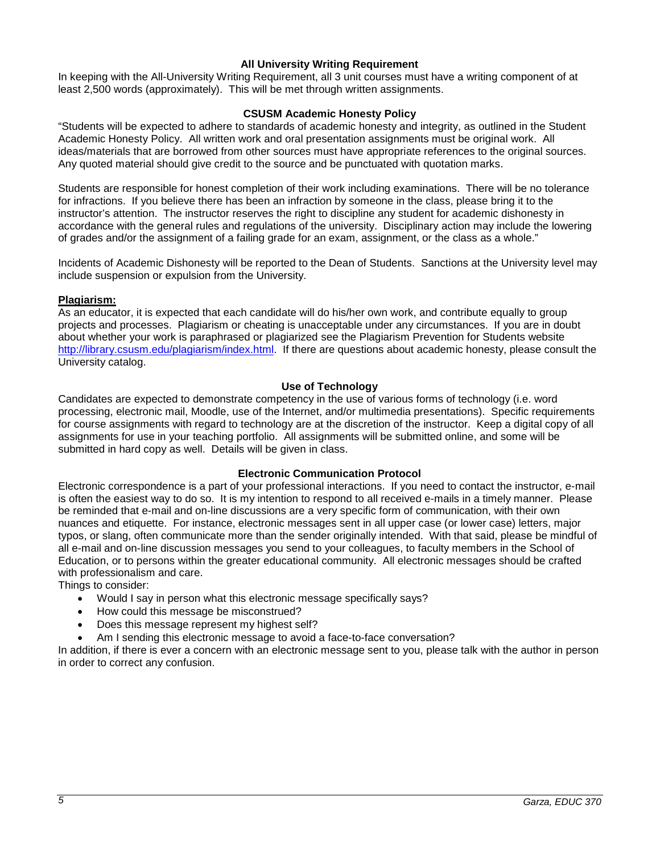## **All University Writing Requirement**

In keeping with the All-University Writing Requirement, all 3 unit courses must have a writing component of at least 2,500 words (approximately). This will be met through written assignments.

## **CSUSM Academic Honesty Policy**

"Students will be expected to adhere to standards of academic honesty and integrity, as outlined in the Student Academic Honesty Policy. All written work and oral presentation assignments must be original work. All ideas/materials that are borrowed from other sources must have appropriate references to the original sources. Any quoted material should give credit to the source and be punctuated with quotation marks.

Students are responsible for honest completion of their work including examinations. There will be no tolerance for infractions. If you believe there has been an infraction by someone in the class, please bring it to the instructor's attention. The instructor reserves the right to discipline any student for academic dishonesty in accordance with the general rules and regulations of the university. Disciplinary action may include the lowering of grades and/or the assignment of a failing grade for an exam, assignment, or the class as a whole."

Incidents of Academic Dishonesty will be reported to the Dean of Students. Sanctions at the University level may include suspension or expulsion from the University.

## **Plagiarism:**

As an educator, it is expected that each candidate will do his/her own work, and contribute equally to group projects and processes. Plagiarism or cheating is unacceptable under any circumstances. If you are in doubt about whether your work is paraphrased or plagiarized see the Plagiarism Prevention for Students website [http://library.csusm.edu/plagiarism/index.html.](http://library.csusm.edu/plagiarism/index.html) If there are questions about academic honesty, please consult the University catalog.

#### **Use of Technology**

Candidates are expected to demonstrate competency in the use of various forms of technology (i.e. word processing, electronic mail, Moodle, use of the Internet, and/or multimedia presentations). Specific requirements for course assignments with regard to technology are at the discretion of the instructor. Keep a digital copy of all assignments for use in your teaching portfolio. All assignments will be submitted online, and some will be submitted in hard copy as well. Details will be given in class.

#### **Electronic Communication Protocol**

Electronic correspondence is a part of your professional interactions. If you need to contact the instructor, e-mail is often the easiest way to do so. It is my intention to respond to all received e-mails in a timely manner. Please be reminded that e-mail and on-line discussions are a very specific form of communication, with their own nuances and etiquette. For instance, electronic messages sent in all upper case (or lower case) letters, major typos, or slang, often communicate more than the sender originally intended. With that said, please be mindful of all e-mail and on-line discussion messages you send to your colleagues, to faculty members in the School of Education, or to persons within the greater educational community. All electronic messages should be crafted with professionalism and care.

Things to consider:

- Would I say in person what this electronic message specifically says?
- How could this message be misconstrued?
- Does this message represent my highest self?
- Am I sending this electronic message to avoid a face-to-face conversation?

In addition, if there is ever a concern with an electronic message sent to you, please talk with the author in person in order to correct any confusion.